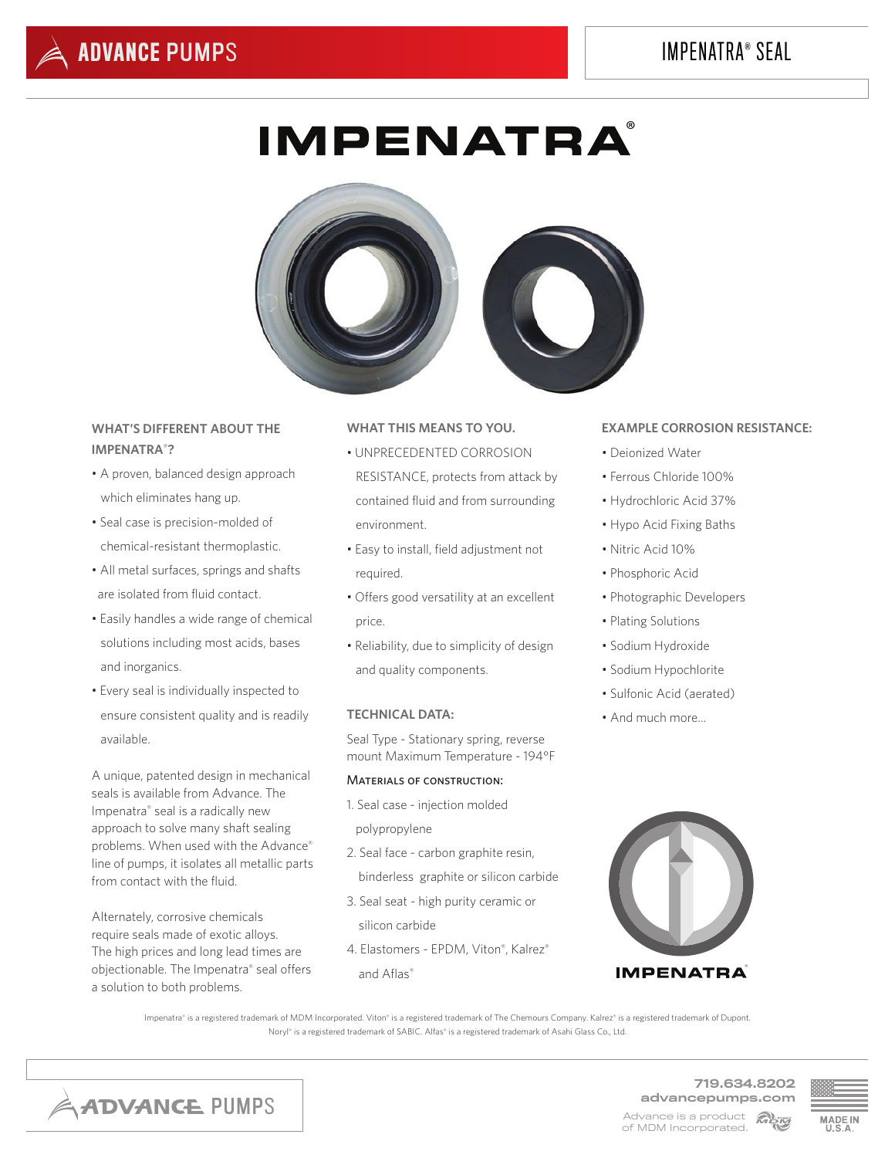# IMPENATRA® SEAL

# **IMPENATRA**



# **WHAT'S DIFFERENT ABOUT THE IMPENATRA® ?**

- A proven, balanced design approach which eliminates hang up.
- Seal case is precision-molded of chemical-resistant thermoplastic.
- All metal surfaces, springs and shafts are isolated from fluid contact.
- Easily handles a wide range of chemical solutions including most acids, bases and inorganics.
- Every seal is individually inspected to ensure consistent quality and is readily available.

A unique, patented design in mechanical seals is available from Advance. The Impenatra® seal is a radically new approach to solve many shaft sealing problems. When used with the Advance® line of pumps, it isolates all metallic parts from contact with the fluid.

Alternately, corrosive chemicals require seals made of exotic alloys. The high prices and long lead times are objectionable. The Impenatra® seal offers a solution to both problems.

## **WHAT THIS MEANS TO YOU.**

- UNPRECEDENTED CORROSION RESISTANCE, protects from attack by contained fluid and from surrounding environment.
- Easy to install, field adjustment not required.
- Offers good versatility at an excellent price.
- Reliability, due to simplicity of design and quality components.

#### **TECHNICAL DATA:**

Seal Type - Stationary spring, reverse mount Maximum Temperature - 194°F

### Materials of construction:

- 1. Seal case injection molded polypropylene
- 2. Seal face carbon graphite resin, binderless graphite or silicon carbide
- 3. Seal seat high purity ceramic or silicon carbide
- 4. Elastomers EPDM, Viton® , Kalrez® and Aflas®

#### **EXAMPLE CORROSION RESISTANCE:**

- Deionized Water
- Ferrous Chloride 100%
- Hydrochloric Acid 37%
- Hypo Acid Fixing Baths
- Nitric Acid 10%
- Phosphoric Acid
- Photographic Developers
- Plating Solutions
- Sodium Hydroxide
- Sodium Hypochlorite
- Sulfonic Acid (aerated)
- And much more...



Impenatra® is a registered trademark of MDM Incorporated. Viton® is a registered trademark of The Chemours Company. Kalrez® is a registered trademark of Dupont. Noryl® is a registered trademark of SABIC. Alfas® is a registered trademark of Asahi Glass Co., Ltd.



719.634.8202 advancepumps.com Advance is a product **Alsy** of MDM Incorporated.